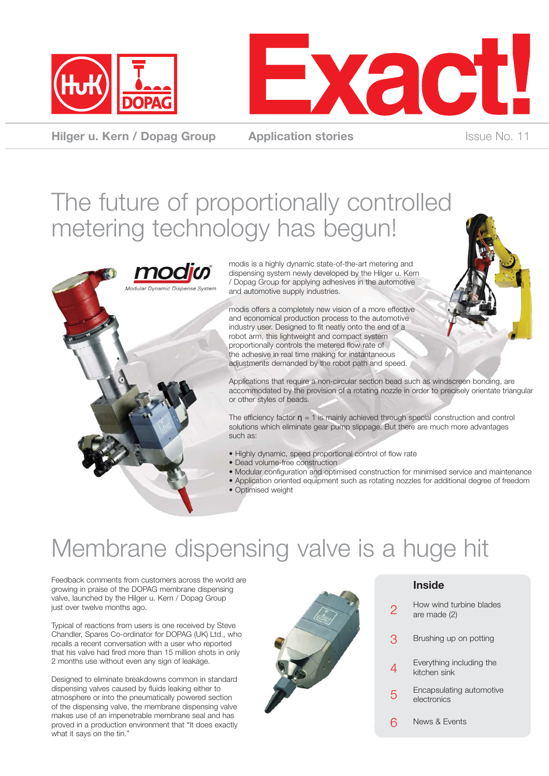



**Hilger u. Kern / Dopag Group Application stories** Integration Studies Integration Studies

### The future of proportionally controlled metering technology has begun!



modis is a highly dynamic state-of-the-art metering and dispensing system newly developed by the Hilger u. Kern / Dopag Group for applying adhesives in the automotive and automotive supply industries.

modis offers a completely new vision of a more effective and economical production process to the automotive industry user. Designed to fit neatly onto the end of a robot arm, this lightweight and compact system proportionally controls the metered flow rate of the adhesive in real time making for instantaneous adjustments demanded by the robot path and speed.



Applications that require a non-circular section bead such as windscreen bonding, are accommodated by the provision of a rotating nozzle in order to precisely orientate triangular or other styles of beads.

The efficiency factor  $\eta = 1$  is mainly achieved through special construction and control solutions which eliminate gear pump slippage. But there are much more advantages such as:

- Highly dynamic, speed proportional control of flow rate
- Dead volume-free construction
- Modular configuration and optimised construction for minimised service and maintenance
- Application oriented equipment such as rotating nozzles for additional degree of freedom • Optimised weight
- Membrane dispensing valve is a huge hit

Feedback comments from customers across the world are growing in praise of the DOPAG membrane dispensing valve, launched by the Hilger u. Kern / Dopag Group just over twelve months ago.

Typical of reactions from users is one received by Steve Chandler, Spares Co-ordinator for DOPAG (UK) Ltd., who recalls a recent conversation with a user who reported that his valve had fired more than 15 million shots in only 2 months use without even any sign of leakage.

Designed to eliminate breakdowns common in standard dispensing valves caused by fluids leaking either to atmosphere or into the pneumatically powered section of the dispensing valve, the membrane dispensing valve makes use of an impenetrable membrane seal and has proved in a production environment that "It does exactly what it says on the tin."



#### **Inside**

- How wind turbine blades are made (2) 2
- Brushing up on potting 3
- Everything including the kitchen sink 4
- Encapsulating automotive electronics 5
- News & Events  $6$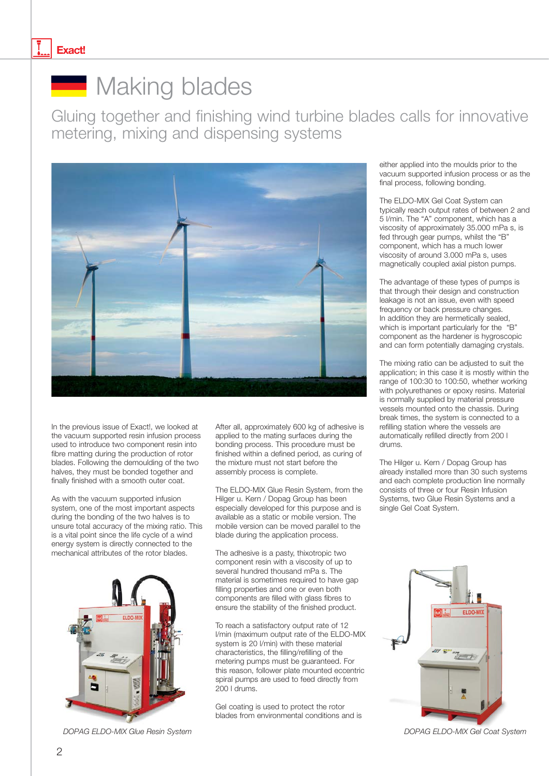#### **Exact!**



### Making blades

Gluing together and finishing wind turbine blades calls for innovative metering, mixing and dispensing systems



In the previous issue of Exact!, we looked at the vacuum supported resin infusion process used to introduce two component resin into fibre matting during the production of rotor blades. Following the demoulding of the two halves, they must be bonded together and finally finished with a smooth outer coat.

As with the vacuum supported infusion system, one of the most important aspects during the bonding of the two halves is to unsure total accuracy of the mixing ratio. This is a vital point since the life cycle of a wind energy system is directly connected to the mechanical attributes of the rotor blades.



*DOPAG ELDO-MIX Glue Resin System DOPAG ELDO-MIX Gel Coat System*

After all, approximately 600 kg of adhesive is applied to the mating surfaces during the bonding process. This procedure must be finished within a defined period, as curing of the mixture must not start before the assembly process is complete.

The ELDO-MIX Glue Resin System, from the Hilger u. Kern / Dopag Group has been especially developed for this purpose and is available as a static or mobile version. The mobile version can be moved parallel to the blade during the application process.

The adhesive is a pasty, thixotropic two component resin with a viscosity of up to several hundred thousand mPa s. The material is sometimes required to have gap filling properties and one or even both components are filled with glass fibres to ensure the stability of the finished product.

To reach a satisfactory output rate of 12 l/min (maximum output rate of the ELDO-MIX system is 20 l/min) with these material characteristics, the filling/refilling of the metering pumps must be guaranteed. For this reason, follower plate mounted eccentric spiral pumps are used to feed directly from 200 l drums.

Gel coating is used to protect the rotor blades from environmental conditions and is either applied into the moulds prior to the vacuum supported infusion process or as the final process, following bonding.

The ELDO-MIX Gel Coat System can typically reach output rates of between 2 and 5 l/min. The "A" component, which has a viscosity of approximately 35.000 mPa s, is fed through gear pumps, whilst the "B" component, which has a much lower viscosity of around 3.000 mPa s, uses magnetically coupled axial piston pumps.

The advantage of these types of pumps is that through their design and construction leakage is not an issue, even with speed frequency or back pressure changes. In addition they are hermetically sealed, which is important particularly for the "B" component as the hardener is hygroscopic and can form potentially damaging crystals.

The mixing ratio can be adjusted to suit the application; in this case it is mostly within the range of 100:30 to 100:50, whether working with polyurethanes or epoxy resins. Material is normally supplied by material pressure vessels mounted onto the chassis. During break times, the system is connected to a refilling station where the vessels are automatically refilled directly from 200 l drums.

The Hilger u. Kern / Dopag Group has already installed more than 30 such systems and each complete production line normally consists of three or four Resin Infusion Systems, two Glue Resin Systems and a single Gel Coat System.



2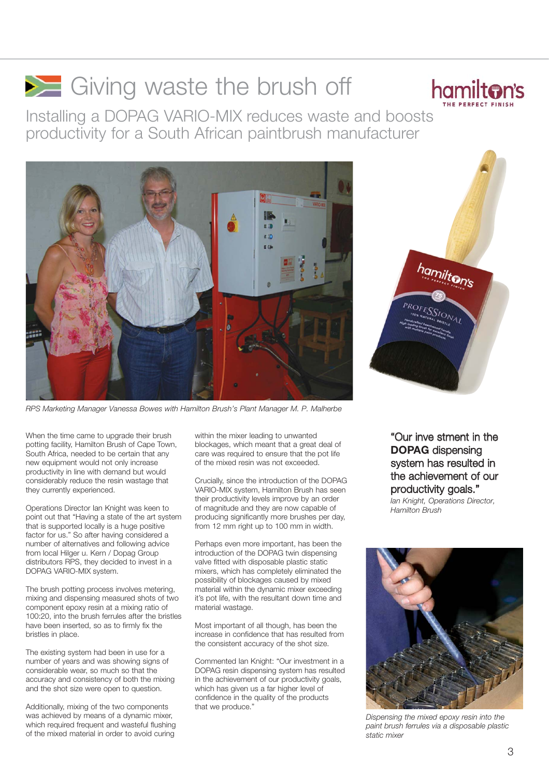# Giving waste the brush off



Installing a DOPAG VARIO-MIX reduces waste and boosts productivity for a South African paintbrush manufacturer



*RPS Marketing Manager Vanessa Bowes with Hamilton Brush's Plant Manager M. P. Malherbe*

When the time came to upgrade their brush potting facility, Hamilton Brush of Cape Town, South Africa, needed to be certain that any new equipment would not only increase productivity in line with demand but would considerably reduce the resin wastage that they currently experienced.

Operations Director Ian Knight was keen to point out that "Having a state of the art system that is supported locally is a huge positive factor for us." So after having considered a number of alternatives and following advice from local Hilger u. Kern / Dopag Group distributors RPS, they decided to invest in a DOPAG VARIO-MIX system.

The brush potting process involves metering, mixing and dispensing measured shots of two component epoxy resin at a mixing ratio of 100:20, into the brush ferrules after the bristles have been inserted, so as to firmly fix the bristles in place.

The existing system had been in use for a number of years and was showing signs of considerable wear, so much so that the accuracy and consistency of both the mixing and the shot size were open to question.

Additionally, mixing of the two components was achieved by means of a dynamic mixer, which required frequent and wasteful flushing of the mixed material in order to avoid curing

within the mixer leading to unwanted blockages, which meant that a great deal of care was required to ensure that the pot life of the mixed resin was not exceeded.

Crucially, since the introduction of the DOPAG VARIO-MIX system, Hamilton Brush has seen their productivity levels improve by an order of magnitude and they are now capable of producing significantly more brushes per day, from 12 mm right up to 100 mm in width.

Perhaps even more important, has been the introduction of the DOPAG twin dispensing valve fitted with disposable plastic static mixers, which has completely eliminated the possibility of blockages caused by mixed material within the dynamic mixer exceeding it's pot life, with the resultant down time and material wastage.

Most important of all though, has been the increase in confidence that has resulted from the consistent accuracy of the shot size.

Commented Ian Knight: "Our investment in a DOPAG resin dispensing system has resulted in the achievement of our productivity goals, which has given us a far higher level of confidence in the quality of the products that we produce."



"Our inve stment in the **DOPAG** dispensing system has resulted in the achievement of our productivity goals."

*Ian Knight, Operations Director, Hamilton Brush*



*Dispensing the mixed epoxy resin into the paint brush ferrules via a disposable plastic static mixer*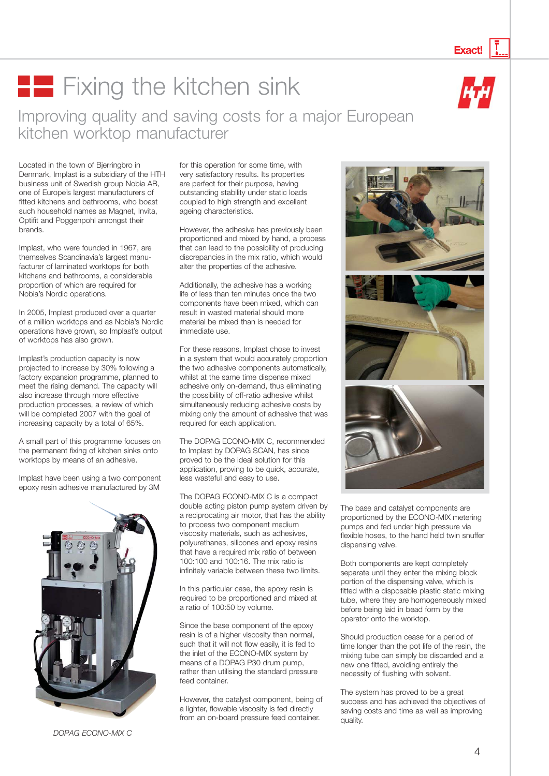#### **Fixing the kitchen sink** Improving quality and saving costs for a major European kitchen worktop manufacturer

Located in the town of Bjerringbro in Denmark, Implast is a subsidiary of the HTH business unit of Swedish group Nobia AB, one of Europe's largest manufacturers of fitted kitchens and bathrooms, who boast such household names as Magnet, Invita, Optifit and Poggenpohl amongst their brands.

Implast, who were founded in 1967, are themselves Scandinavia's largest manufacturer of laminated worktops for both kitchens and bathrooms, a considerable proportion of which are required for Nobia's Nordic operations.

In 2005, Implast produced over a quarter of a million worktops and as Nobia's Nordic operations have grown, so Implast's output of worktops has also grown.

Implast's production capacity is now projected to increase by 30% following a factory expansion programme, planned to meet the rising demand. The capacity will also increase through more effective production processes, a review of which will be completed 2007 with the goal of increasing capacity by a total of 65%.

A small part of this programme focuses on the permanent fixing of kitchen sinks onto worktops by means of an adhesive.

Implast have been using a two component epoxy resin adhesive manufactured by 3M



*DOPAG ECONO-MIX C*

for this operation for some time, with very satisfactory results. Its properties are perfect for their purpose, having outstanding stability under static loads coupled to high strength and excellent ageing characteristics.

However, the adhesive has previously been proportioned and mixed by hand, a process that can lead to the possibility of producing discrepancies in the mix ratio, which would alter the properties of the adhesive.

Additionally, the adhesive has a working life of less than ten minutes once the two components have been mixed, which can result in wasted material should more material be mixed than is needed for immediate use.

For these reasons, Implast chose to invest in a system that would accurately proportion the two adhesive components automatically, whilst at the same time dispense mixed adhesive only on-demand, thus eliminating the possibility of off-ratio adhesive whilst simultaneously reducing adhesive costs by mixing only the amount of adhesive that was required for each application.

The DOPAG ECONO-MIX C, recommended to Implast by DOPAG SCAN, has since proved to be the ideal solution for this application, proving to be quick, accurate, less wasteful and easy to use.

The DOPAG ECONO-MIX C is a compact double acting piston pump system driven by a reciprocating air motor, that has the ability to process two component medium viscosity materials, such as adhesives, polyurethanes, silicones and epoxy resins that have a required mix ratio of between 100:100 and 100:16. The mix ratio is infinitely variable between these two limits.

In this particular case, the epoxy resin is required to be proportioned and mixed at a ratio of 100:50 by volume.

Since the base component of the epoxy resin is of a higher viscosity than normal, such that it will not flow easily, it is fed to the inlet of the ECONO-MIX system by means of a DOPAG P30 drum pump, rather than utilising the standard pressure feed container.

However, the catalyst component, being of a lighter, flowable viscosity is fed directly from an on-board pressure feed container.







The base and catalyst components are proportioned by the ECONO-MIX metering pumps and fed under high pressure via flexible hoses, to the hand held twin snuffer dispensing valve.

Both components are kept completely separate until they enter the mixing block portion of the dispensing valve, which is fitted with a disposable plastic static mixing tube, where they are homogeneously mixed before being laid in bead form by the operator onto the worktop.

Should production cease for a period of time longer than the pot life of the resin, the mixing tube can simply be discarded and a new one fitted, avoiding entirely the necessity of flushing with solvent.

The system has proved to be a great success and has achieved the objectives of saving costs and time as well as improving quality.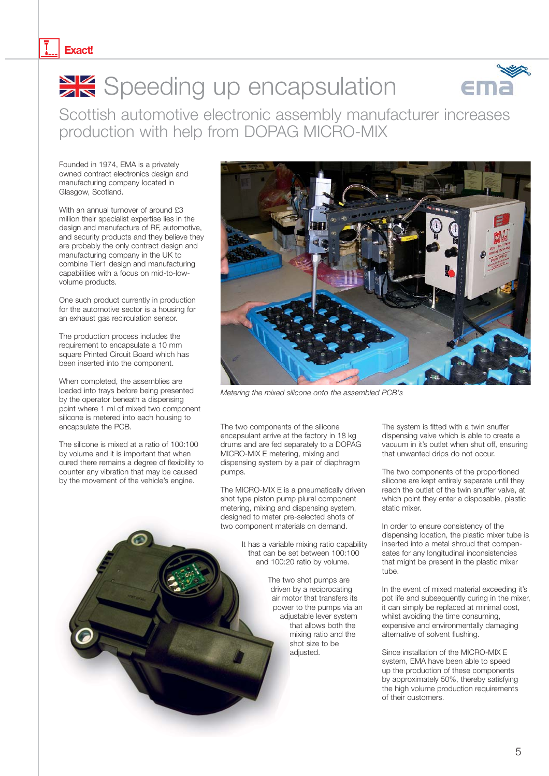#### **Exact!**

# Speeding up encapsulation



Scottish automotive electronic assembly manufacturer increases production with help from DOPAG MICRO-MIX

Founded in 1974, EMA is a privately owned contract electronics design and manufacturing company located in Glasgow, Scotland.

With an annual turnover of around £3 million their specialist expertise lies in the design and manufacture of RF, automotive, and security products and they believe they are probably the only contract design and manufacturing company in the UK to combine Tier1 design and manufacturing capabilities with a focus on mid-to-lowvolume products.

One such product currently in production for the automotive sector is a housing for an exhaust gas recirculation sensor.

The production process includes the requirement to encapsulate a 10 mm square Printed Circuit Board which has been inserted into the component.

When completed, the assemblies are loaded into trays before being presented by the operator beneath a dispensing point where 1 ml of mixed two component silicone is metered into each housing to encapsulate the PCB.

The silicone is mixed at a ratio of 100:100 by volume and it is important that when cured there remains a degree of flexibility to counter any vibration that may be caused by the movement of the vehicle's engine.



*Metering the mixed silicone onto the assembled PCB's*

The two components of the silicone encapsulant arrive at the factory in 18 kg drums and are fed separately to a DOPAG MICRO-MIX E metering, mixing and dispensing system by a pair of diaphragm pumps.

The MICRO-MIX E is a pneumatically driven shot type piston pump plural component metering, mixing and dispensing system, designed to meter pre-selected shots of two component materials on demand.

> It has a variable mixing ratio capability that can be set between 100:100 and 100:20 ratio by volume.

> > The two shot pumps are driven by a reciprocating air motor that transfers its power to the pumps via an adjustable lever system that allows both the mixing ratio and the shot size to be adjusted.

The system is fitted with a twin snuffer dispensing valve which is able to create a vacuum in it's outlet when shut off, ensuring that unwanted drips do not occur.

The two components of the proportioned silicone are kept entirely separate until they reach the outlet of the twin snuffer valve, at which point they enter a disposable, plastic static mixer.

In order to ensure consistency of the dispensing location, the plastic mixer tube is inserted into a metal shroud that compensates for any longitudinal inconsistencies that might be present in the plastic mixer tube.

In the event of mixed material exceeding it's pot life and subsequently curing in the mixer, it can simply be replaced at minimal cost, whilst avoiding the time consuming, expensive and environmentally damaging alternative of solvent flushing.

Since installation of the MICRO-MIX E system, EMA have been able to speed up the production of these components by approximately 50%, thereby satisfying the high volume production requirements of their customers.